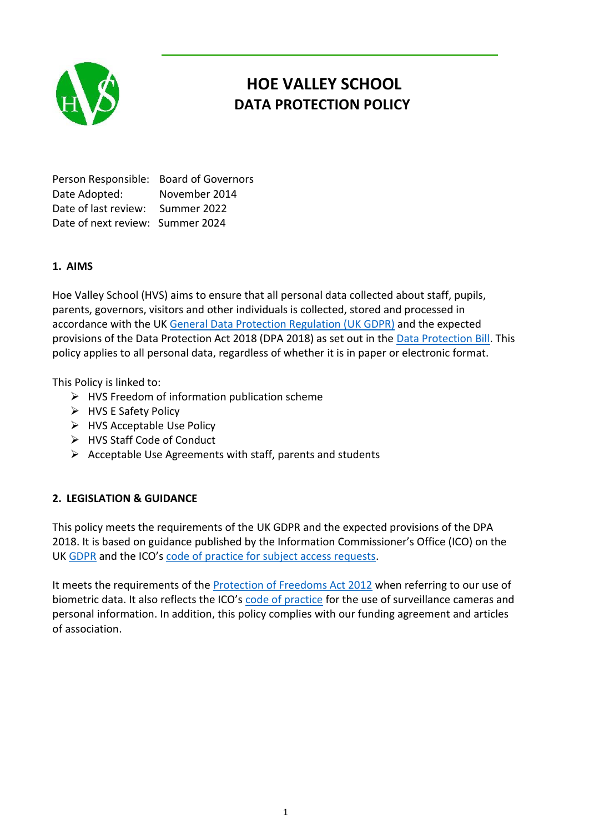

# **HOE VALLEY SCHOOL DATA PROTECTION POLICY**

Person Responsible: Board of Governors Date Adopted: November 2014 Date of last review: Summer 2022 Date of next review: Summer 2024

# **1. AIMS**

Hoe Valley School (HVS) aims to ensure that all personal data collected about staff, pupils, parents, governors, visitors and other individuals is collected, stored and processed in accordance with the U[K General Data Protection Regulation \(UK GDPR\)](http://data.consilium.europa.eu/doc/document/ST-5419-2016-INIT/en/pdf) and the expected provisions of the Data Protection Act 2018 (DPA 2018) as set out in the [Data Protection Bill.](https://publications.parliament.uk/pa/bills/cbill/2017-2019/0153/18153.pdf) This policy applies to all personal data, regardless of whether it is in paper or electronic format.

This Policy is linked to:

- $\triangleright$  HVS Freedom of information publication scheme
- $\triangleright$  HVS E Safety Policy
- $\triangleright$  HVS Acceptable Use Policy
- HVS Staff Code of Conduct
- $\triangleright$  Acceptable Use Agreements with staff, parents and students

## **2. LEGISLATION & GUIDANCE**

This policy meets the requirements of the UK GDPR and the expected provisions of the DPA 2018. It is based on guidance published by the Information Commissioner's Office (ICO) on the UK [GDPR](https://ico.org.uk/for-organisations/guide-to-the-general-data-protection-regulation-gdpr/) and the ICO's [code of practice for subject access requests.](https://ico.org.uk/media/for-organisations/documents/2014223/subject-access-code-of-practice.pdf)

It meets the requirements of the [Protection of Freedoms Act 2012](https://www.legislation.gov.uk/ukpga/2012/9/part/1/chapter/2) when referring to our use of biometric data. It also reflects the ICO's [code of practice](https://ico.org.uk/media/for-organisations/documents/1542/cctv-code-of-practice.pdf) for the use of surveillance cameras and personal information. In addition, this policy complies with our funding agreement and articles of association.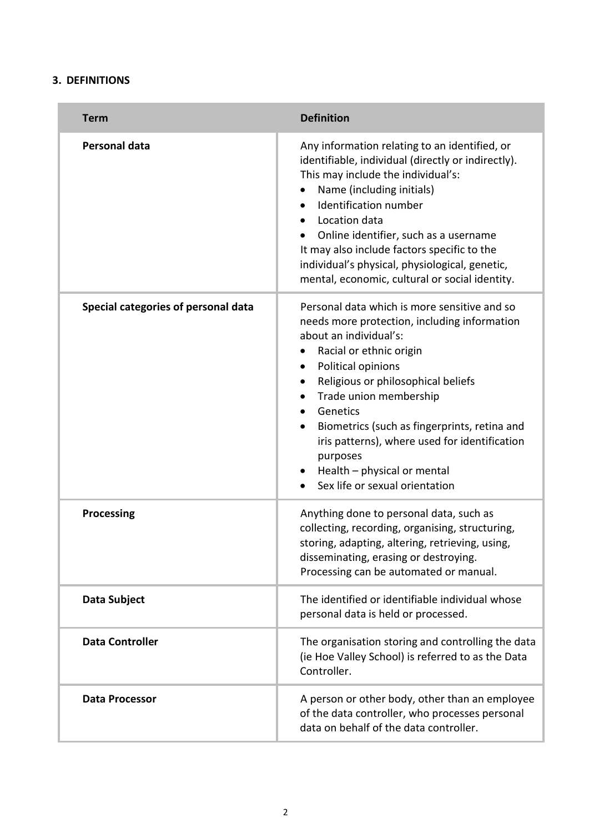### **3. DEFINITIONS**

| <b>Term</b>                         | <b>Definition</b>                                                                                                                                                                                                                                                                                                                                                                                                                              |
|-------------------------------------|------------------------------------------------------------------------------------------------------------------------------------------------------------------------------------------------------------------------------------------------------------------------------------------------------------------------------------------------------------------------------------------------------------------------------------------------|
| Personal data                       | Any information relating to an identified, or<br>identifiable, individual (directly or indirectly).<br>This may include the individual's:<br>Name (including initials)<br>$\bullet$<br>Identification number<br>Location data<br>Online identifier, such as a username<br>It may also include factors specific to the<br>individual's physical, physiological, genetic,<br>mental, economic, cultural or social identity.                      |
| Special categories of personal data | Personal data which is more sensitive and so<br>needs more protection, including information<br>about an individual's:<br>Racial or ethnic origin<br>Political opinions<br>Religious or philosophical beliefs<br>$\bullet$<br>Trade union membership<br>Genetics<br>Biometrics (such as fingerprints, retina and<br>iris patterns), where used for identification<br>purposes<br>Health - physical or mental<br>Sex life or sexual orientation |
| <b>Processing</b>                   | Anything done to personal data, such as<br>collecting, recording, organising, structuring,<br>storing, adapting, altering, retrieving, using,<br>disseminating, erasing or destroying.<br>Processing can be automated or manual.                                                                                                                                                                                                               |
| Data Subject                        | The identified or identifiable individual whose<br>personal data is held or processed.                                                                                                                                                                                                                                                                                                                                                         |
| <b>Data Controller</b>              | The organisation storing and controlling the data<br>(ie Hoe Valley School) is referred to as the Data<br>Controller.                                                                                                                                                                                                                                                                                                                          |
| <b>Data Processor</b>               | A person or other body, other than an employee<br>of the data controller, who processes personal<br>data on behalf of the data controller.                                                                                                                                                                                                                                                                                                     |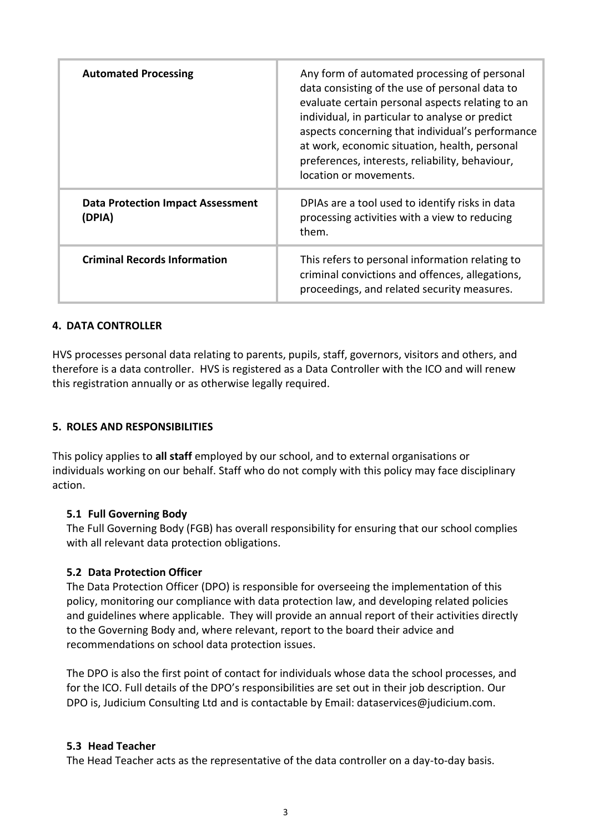| <b>Automated Processing</b>                        | Any form of automated processing of personal<br>data consisting of the use of personal data to<br>evaluate certain personal aspects relating to an<br>individual, in particular to analyse or predict<br>aspects concerning that individual's performance<br>at work, economic situation, health, personal<br>preferences, interests, reliability, behaviour,<br>location or movements. |
|----------------------------------------------------|-----------------------------------------------------------------------------------------------------------------------------------------------------------------------------------------------------------------------------------------------------------------------------------------------------------------------------------------------------------------------------------------|
| <b>Data Protection Impact Assessment</b><br>(DPIA) | DPIAs are a tool used to identify risks in data<br>processing activities with a view to reducing<br>them.                                                                                                                                                                                                                                                                               |
| <b>Criminal Records Information</b>                | This refers to personal information relating to<br>criminal convictions and offences, allegations,<br>proceedings, and related security measures.                                                                                                                                                                                                                                       |

#### **4. DATA CONTROLLER**

HVS processes personal data relating to parents, pupils, staff, governors, visitors and others, and therefore is a data controller. HVS is registered as a Data Controller with the ICO and will renew this registration annually or as otherwise legally required.

#### **5. ROLES AND RESPONSIBILITIES**

This policy applies to **all staff** employed by our school, and to external organisations or individuals working on our behalf. Staff who do not comply with this policy may face disciplinary action.

#### **5.1 Full Governing Body**

The Full Governing Body (FGB) has overall responsibility for ensuring that our school complies with all relevant data protection obligations.

## **5.2 Data Protection Officer**

The Data Protection Officer (DPO) is responsible for overseeing the implementation of this policy, monitoring our compliance with data protection law, and developing related policies and guidelines where applicable. They will provide an annual report of their activities directly to the Governing Body and, where relevant, report to the board their advice and recommendations on school data protection issues.

The DPO is also the first point of contact for individuals whose data the school processes, and for the ICO. Full details of the DPO's responsibilities are set out in their job description. Our DPO is, Judicium Consulting Ltd and is contactable by Email: dataservices@judicium.com.

#### **5.3 Head Teacher**

The Head Teacher acts as the representative of the data controller on a day-to-day basis.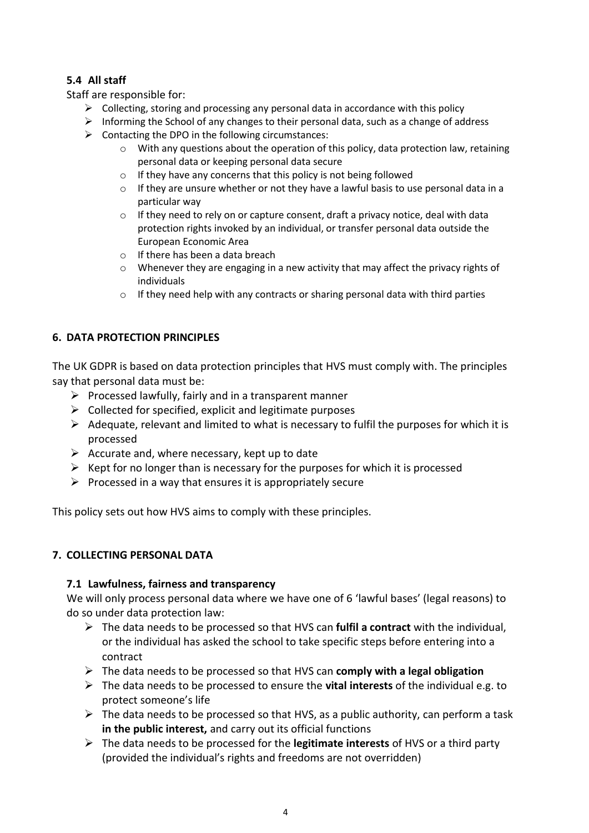# **5.4 All staff**

Staff are responsible for:

- $\triangleright$  Collecting, storing and processing any personal data in accordance with this policy
- $\triangleright$  Informing the School of any changes to their personal data, such as a change of address
- $\triangleright$  Contacting the DPO in the following circumstances:
	- $\circ$  With any questions about the operation of this policy, data protection law, retaining personal data or keeping personal data secure
	- o If they have any concerns that this policy is not being followed
	- o If they are unsure whether or not they have a lawful basis to use personal data in a particular way
	- o If they need to rely on or capture consent, draft a privacy notice, deal with data protection rights invoked by an individual, or transfer personal data outside the European Economic Area
	- o If there has been a data breach
	- $\circ$  Whenever they are engaging in a new activity that may affect the privacy rights of individuals
	- $\circ$  If they need help with any contracts or sharing personal data with third parties

## **6. DATA PROTECTION PRINCIPLES**

The UK GDPR is based on data protection principles that HVS must comply with. The principles say that personal data must be:

- $\triangleright$  Processed lawfully, fairly and in a transparent manner
- $\triangleright$  Collected for specified, explicit and legitimate purposes
- $\triangleright$  Adequate, relevant and limited to what is necessary to fulfil the purposes for which it is processed
- $\triangleright$  Accurate and, where necessary, kept up to date
- $\triangleright$  Kept for no longer than is necessary for the purposes for which it is processed
- $\triangleright$  Processed in a way that ensures it is appropriately secure

This policy sets out how HVS aims to comply with these principles.

#### **7. COLLECTING PERSONAL DATA**

#### **7.1 Lawfulness, fairness and transparency**

We will only process personal data where we have one of 6 'lawful bases' (legal reasons) to do so under data protection law:

- The data needs to be processed so that HVS can **fulfil a contract** with the individual, or the individual has asked the school to take specific steps before entering into a contract
- The data needs to be processed so that HVS can **comply with a legal obligation**
- The data needs to be processed to ensure the **vital interests** of the individual e.g. to protect someone's life
- $\triangleright$  The data needs to be processed so that HVS, as a public authority, can perform a task **in the public interest,** and carry out its official functions
- The data needs to be processed for the **legitimate interests** of HVS or a third party (provided the individual's rights and freedoms are not overridden)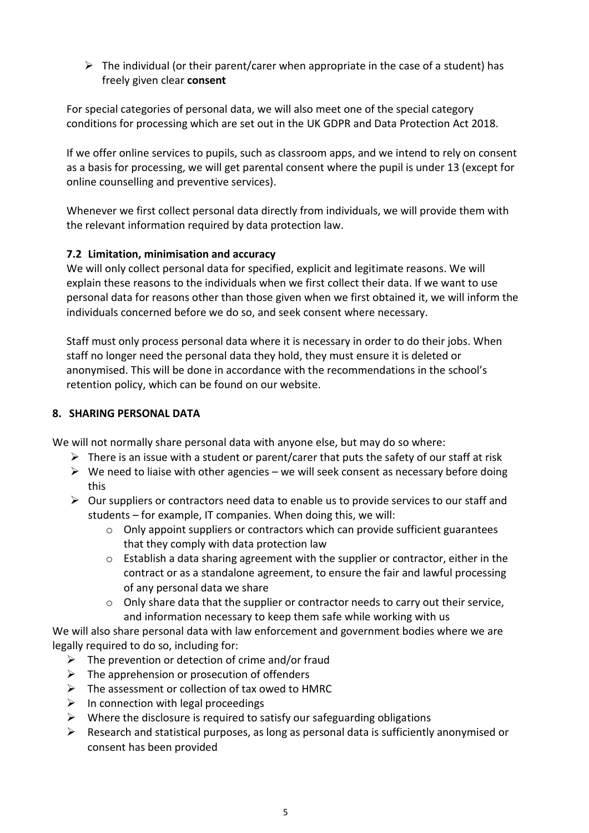$\triangleright$  The individual (or their parent/carer when appropriate in the case of a student) has freely given clear **consent**

For special categories of personal data, we will also meet one of the special category conditions for processing which are set out in the UK GDPR and Data Protection Act 2018.

If we offer online services to pupils, such as classroom apps, and we intend to rely on consent as a basis for processing, we will get parental consent where the pupil is under 13 (except for online counselling and preventive services).

Whenever we first collect personal data directly from individuals, we will provide them with the relevant information required by data protection law.

# **7.2 Limitation, minimisation and accuracy**

We will only collect personal data for specified, explicit and legitimate reasons. We will explain these reasons to the individuals when we first collect their data. If we want to use personal data for reasons other than those given when we first obtained it, we will inform the individuals concerned before we do so, and seek consent where necessary.

Staff must only process personal data where it is necessary in order to do their jobs. When staff no longer need the personal data they hold, they must ensure it is deleted or anonymised. This will be done in accordance with the recommendations in the school's retention policy, which can be found on our website.

## **8. SHARING PERSONAL DATA**

We will not normally share personal data with anyone else, but may do so where:

- $\triangleright$  There is an issue with a student or parent/carer that puts the safety of our staff at risk
- $\triangleright$  We need to liaise with other agencies we will seek consent as necessary before doing this
- $\triangleright$  Our suppliers or contractors need data to enable us to provide services to our staff and students – for example, IT companies. When doing this, we will:
	- o Only appoint suppliers or contractors which can provide sufficient guarantees that they comply with data protection law
	- o Establish a data sharing agreement with the supplier or contractor, either in the contract or as a standalone agreement, to ensure the fair and lawful processing of any personal data we share
	- $\circ$  Only share data that the supplier or contractor needs to carry out their service, and information necessary to keep them safe while working with us

We will also share personal data with law enforcement and government bodies where we are legally required to do so, including for:

- $\triangleright$  The prevention or detection of crime and/or fraud
- $\triangleright$  The apprehension or prosecution of offenders
- $\triangleright$  The assessment or collection of tax owed to HMRC
- $\triangleright$  In connection with legal proceedings
- $\triangleright$  Where the disclosure is required to satisfy our safeguarding obligations
- $\triangleright$  Research and statistical purposes, as long as personal data is sufficiently anonymised or consent has been provided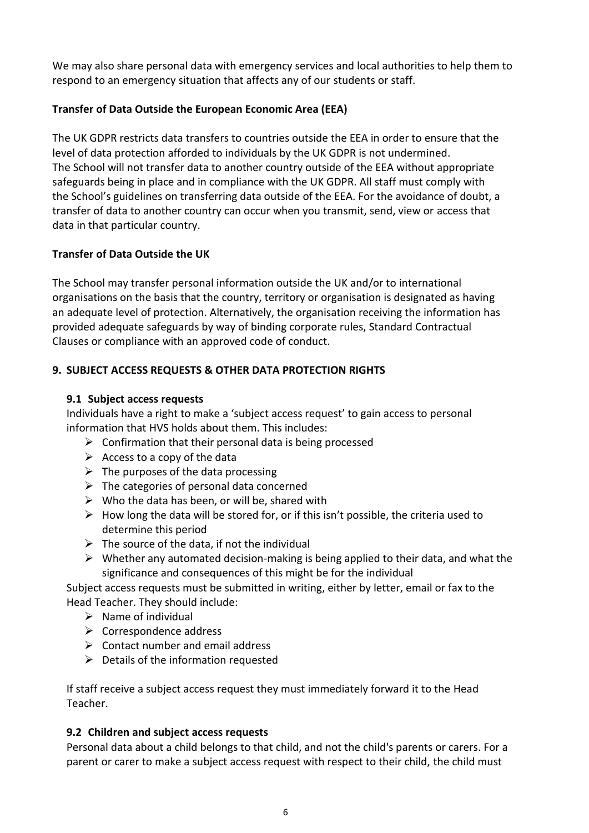We may also share personal data with emergency services and local authorities to help them to respond to an emergency situation that affects any of our students or staff.

## **Transfer of Data Outside the European Economic Area (EEA)**

The UK GDPR restricts data transfers to countries outside the EEA in order to ensure that the level of data protection afforded to individuals by the UK GDPR is not undermined. The School will not transfer data to another country outside of the EEA without appropriate safeguards being in place and in compliance with the UK GDPR. All staff must comply with the School's guidelines on transferring data outside of the EEA. For the avoidance of doubt, a transfer of data to another country can occur when you transmit, send, view or access that data in that particular country.

# **Transfer of Data Outside the UK**

The School may transfer personal information outside the UK and/or to international organisations on the basis that the country, territory or organisation is designated as having an adequate level of protection. Alternatively, the organisation receiving the information has provided adequate safeguards by way of binding corporate rules, Standard Contractual Clauses or compliance with an approved code of conduct.

# **9. SUBJECT ACCESS REQUESTS & OTHER DATA PROTECTION RIGHTS**

## **9.1 Subject access requests**

Individuals have a right to make a 'subject access request' to gain access to personal information that HVS holds about them. This includes:

- $\triangleright$  Confirmation that their personal data is being processed
- $\triangleright$  Access to a copy of the data
- $\triangleright$  The purposes of the data processing
- $\triangleright$  The categories of personal data concerned
- $\triangleright$  Who the data has been, or will be, shared with
- $\triangleright$  How long the data will be stored for, or if this isn't possible, the criteria used to determine this period
- $\triangleright$  The source of the data, if not the individual
- $\triangleright$  Whether any automated decision-making is being applied to their data, and what the significance and consequences of this might be for the individual

Subject access requests must be submitted in writing, either by letter, email or fax to the Head Teacher. They should include:

- $\triangleright$  Name of individual
- $\triangleright$  Correspondence address
- $\triangleright$  Contact number and email address
- $\triangleright$  Details of the information requested

If staff receive a subject access request they must immediately forward it to the Head Teacher.

## **9.2 Children and subject access requests**

Personal data about a child belongs to that child, and not the child's parents or carers. For a parent or carer to make a subject access request with respect to their child, the child must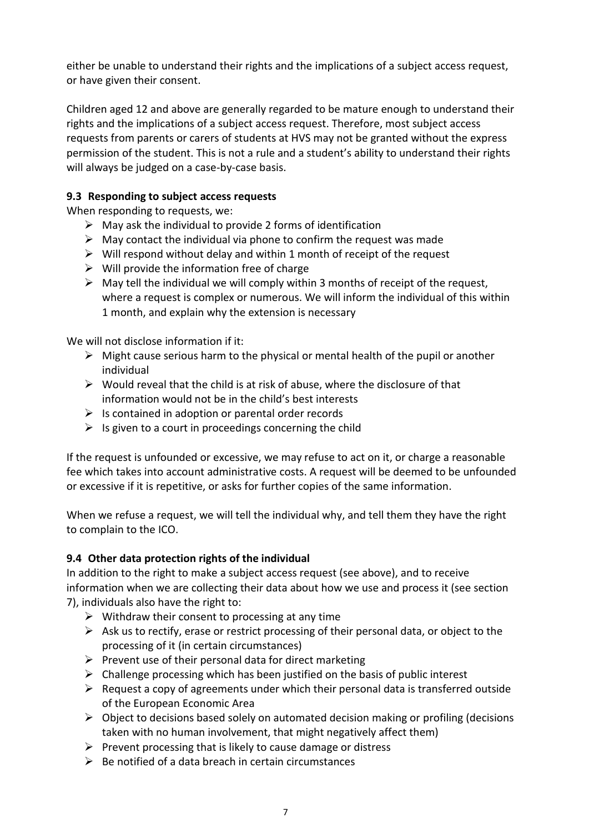either be unable to understand their rights and the implications of a subject access request, or have given their consent.

Children aged 12 and above are generally regarded to be mature enough to understand their rights and the implications of a subject access request. Therefore, most subject access requests from parents or carers of students at HVS may not be granted without the express permission of the student. This is not a rule and a student's ability to understand their rights will always be judged on a case-by-case basis.

# **9.3 Responding to subject access requests**

When responding to requests, we:

- $\triangleright$  May ask the individual to provide 2 forms of identification
- $\triangleright$  May contact the individual via phone to confirm the request was made
- $\triangleright$  Will respond without delay and within 1 month of receipt of the request
- $\triangleright$  Will provide the information free of charge
- $\triangleright$  May tell the individual we will comply within 3 months of receipt of the request, where a request is complex or numerous. We will inform the individual of this within 1 month, and explain why the extension is necessary

We will not disclose information if it:

- $\triangleright$  Might cause serious harm to the physical or mental health of the pupil or another individual
- $\triangleright$  Would reveal that the child is at risk of abuse, where the disclosure of that information would not be in the child's best interests
- $\triangleright$  Is contained in adoption or parental order records
- $\triangleright$  Is given to a court in proceedings concerning the child

If the request is unfounded or excessive, we may refuse to act on it, or charge a reasonable fee which takes into account administrative costs. A request will be deemed to be unfounded or excessive if it is repetitive, or asks for further copies of the same information.

When we refuse a request, we will tell the individual why, and tell them they have the right to complain to the ICO.

## **9.4 Other data protection rights of the individual**

In addition to the right to make a subject access request (see above), and to receive information when we are collecting their data about how we use and process it (see section 7), individuals also have the right to:

- $\triangleright$  Withdraw their consent to processing at any time
- $\triangleright$  Ask us to rectify, erase or restrict processing of their personal data, or object to the processing of it (in certain circumstances)
- $\triangleright$  Prevent use of their personal data for direct marketing
- $\triangleright$  Challenge processing which has been justified on the basis of public interest
- $\triangleright$  Request a copy of agreements under which their personal data is transferred outside of the European Economic Area
- $\triangleright$  Object to decisions based solely on automated decision making or profiling (decisions taken with no human involvement, that might negatively affect them)
- $\triangleright$  Prevent processing that is likely to cause damage or distress
- $\triangleright$  Be notified of a data breach in certain circumstances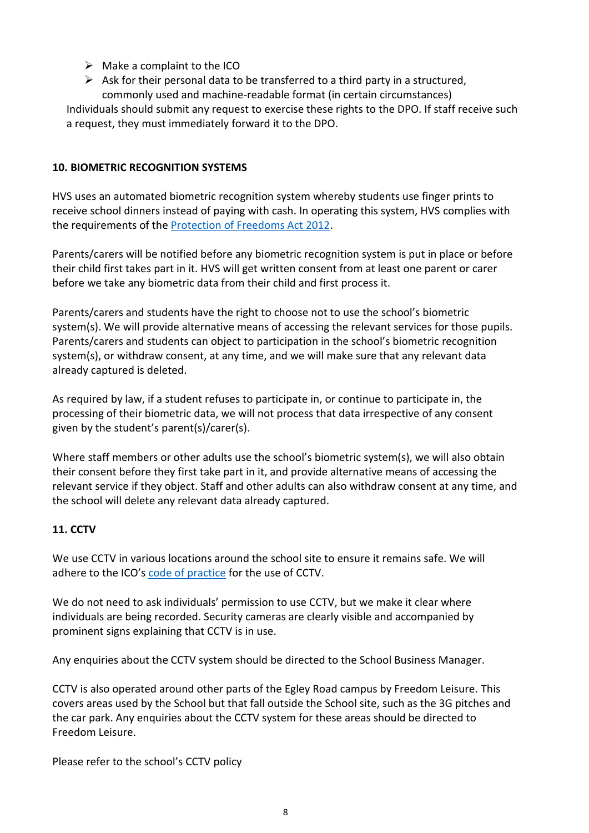- $\triangleright$  Make a complaint to the ICO
- $\triangleright$  Ask for their personal data to be transferred to a third party in a structured, commonly used and machine-readable format (in certain circumstances)

Individuals should submit any request to exercise these rights to the DPO. If staff receive such a request, they must immediately forward it to the DPO.

## **10. BIOMETRIC RECOGNITION SYSTEMS**

HVS uses an automated biometric recognition system whereby students use finger prints to receive school dinners instead of paying with cash. In operating this system, HVS complies with the requirements of th[e Protection of Freedoms Act 2012.](https://www.legislation.gov.uk/ukpga/2012/9/section/26)

Parents/carers will be notified before any biometric recognition system is put in place or before their child first takes part in it. HVS will get written consent from at least one parent or carer before we take any biometric data from their child and first process it.

Parents/carers and students have the right to choose not to use the school's biometric system(s). We will provide alternative means of accessing the relevant services for those pupils. Parents/carers and students can object to participation in the school's biometric recognition system(s), or withdraw consent, at any time, and we will make sure that any relevant data already captured is deleted.

As required by law, if a student refuses to participate in, or continue to participate in, the processing of their biometric data, we will not process that data irrespective of any consent given by the student's parent(s)/carer(s).

Where staff members or other adults use the school's biometric system(s), we will also obtain their consent before they first take part in it, and provide alternative means of accessing the relevant service if they object. Staff and other adults can also withdraw consent at any time, and the school will delete any relevant data already captured.

# **11. CCTV**

We use CCTV in various locations around the school site to ensure it remains safe. We will adhere to the ICO's [code of practice](https://ico.org.uk/media/for-organisations/documents/1542/cctv-code-of-practice.pdf) for the use of CCTV.

We do not need to ask individuals' permission to use CCTV, but we make it clear where individuals are being recorded. Security cameras are clearly visible and accompanied by prominent signs explaining that CCTV is in use.

Any enquiries about the CCTV system should be directed to the School Business Manager.

CCTV is also operated around other parts of the Egley Road campus by Freedom Leisure. This covers areas used by the School but that fall outside the School site, such as the 3G pitches and the car park. Any enquiries about the CCTV system for these areas should be directed to Freedom Leisure.

Please refer to the school's CCTV policy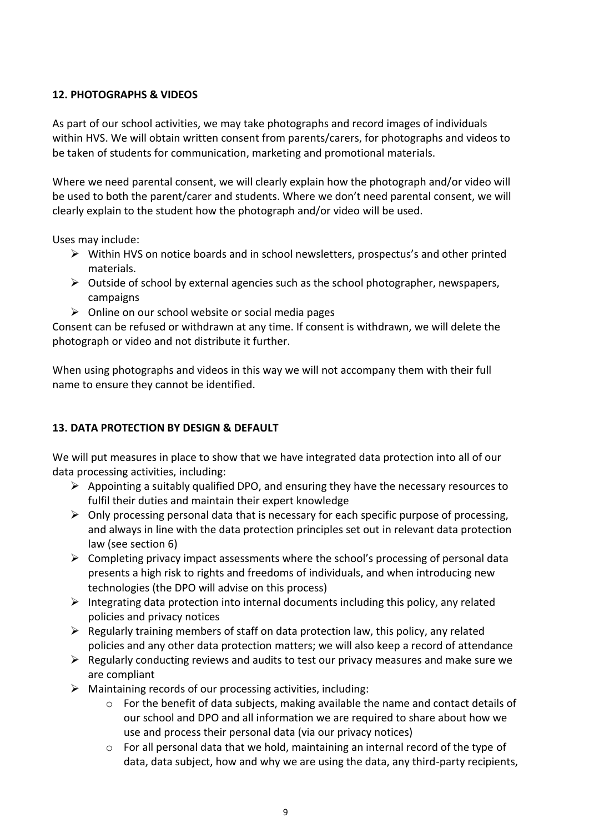# **12. PHOTOGRAPHS & VIDEOS**

As part of our school activities, we may take photographs and record images of individuals within HVS. We will obtain written consent from parents/carers, for photographs and videos to be taken of students for communication, marketing and promotional materials.

Where we need parental consent, we will clearly explain how the photograph and/or video will be used to both the parent/carer and students. Where we don't need parental consent, we will clearly explain to the student how the photograph and/or video will be used.

Uses may include:

- $\triangleright$  Within HVS on notice boards and in school newsletters, prospectus's and other printed materials.
- $\triangleright$  Outside of school by external agencies such as the school photographer, newspapers, campaigns
- $\triangleright$  Online on our school website or social media pages

Consent can be refused or withdrawn at any time. If consent is withdrawn, we will delete the photograph or video and not distribute it further.

When using photographs and videos in this way we will not accompany them with their full name to ensure they cannot be identified.

## **13. DATA PROTECTION BY DESIGN & DEFAULT**

We will put measures in place to show that we have integrated data protection into all of our data processing activities, including:

- $\triangleright$  Appointing a suitably qualified DPO, and ensuring they have the necessary resources to fulfil their duties and maintain their expert knowledge
- $\triangleright$  Only processing personal data that is necessary for each specific purpose of processing, and always in line with the data protection principles set out in relevant data protection law (see section 6)
- $\triangleright$  Completing privacy impact assessments where the school's processing of personal data presents a high risk to rights and freedoms of individuals, and when introducing new technologies (the DPO will advise on this process)
- Integrating data protection into internal documents including this policy, any related policies and privacy notices
- $\triangleright$  Regularly training members of staff on data protection law, this policy, any related policies and any other data protection matters; we will also keep a record of attendance
- $\triangleright$  Regularly conducting reviews and audits to test our privacy measures and make sure we are compliant
- $\triangleright$  Maintaining records of our processing activities, including:
	- $\circ$  For the benefit of data subjects, making available the name and contact details of our school and DPO and all information we are required to share about how we use and process their personal data (via our privacy notices)
	- $\circ$  For all personal data that we hold, maintaining an internal record of the type of data, data subject, how and why we are using the data, any third-party recipients,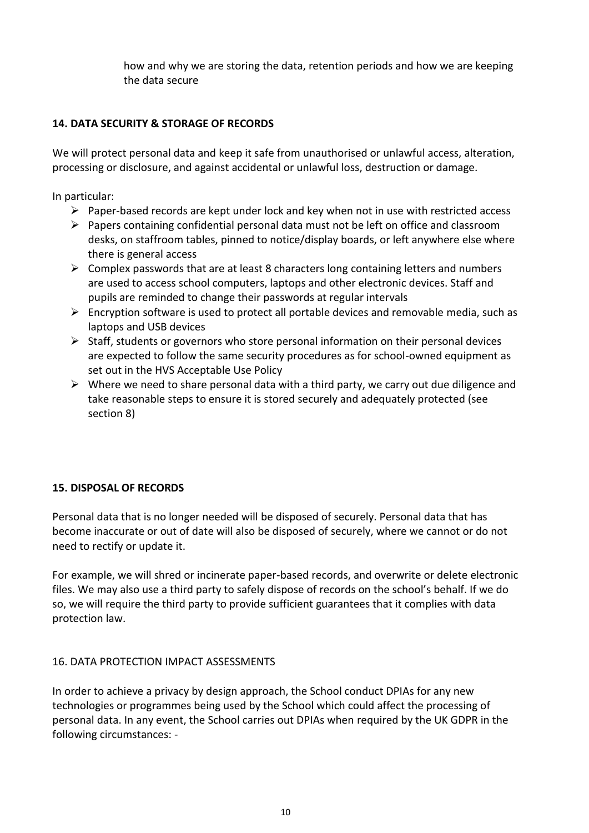how and why we are storing the data, retention periods and how we are keeping the data secure

# **14. DATA SECURITY & STORAGE OF RECORDS**

We will protect personal data and keep it safe from unauthorised or unlawful access, alteration, processing or disclosure, and against accidental or unlawful loss, destruction or damage.

In particular:

- $\triangleright$  Paper-based records are kept under lock and key when not in use with restricted access
- $\triangleright$  Papers containing confidential personal data must not be left on office and classroom desks, on staffroom tables, pinned to notice/display boards, or left anywhere else where there is general access
- $\triangleright$  Complex passwords that are at least 8 characters long containing letters and numbers are used to access school computers, laptops and other electronic devices. Staff and pupils are reminded to change their passwords at regular intervals
- $\triangleright$  Encryption software is used to protect all portable devices and removable media, such as laptops and USB devices
- $\triangleright$  Staff, students or governors who store personal information on their personal devices are expected to follow the same security procedures as for school-owned equipment as set out in the HVS Acceptable Use Policy
- $\triangleright$  Where we need to share personal data with a third party, we carry out due diligence and take reasonable steps to ensure it is stored securely and adequately protected (see section 8)

## **15. DISPOSAL OF RECORDS**

Personal data that is no longer needed will be disposed of securely. Personal data that has become inaccurate or out of date will also be disposed of securely, where we cannot or do not need to rectify or update it.

For example, we will shred or incinerate paper-based records, and overwrite or delete electronic files. We may also use a third party to safely dispose of records on the school's behalf. If we do so, we will require the third party to provide sufficient guarantees that it complies with data protection law.

## 16. DATA PROTECTION IMPACT ASSESSMENTS

In order to achieve a privacy by design approach, the School conduct DPIAs for any new technologies or programmes being used by the School which could affect the processing of personal data. In any event, the School carries out DPIAs when required by the UK GDPR in the following circumstances: -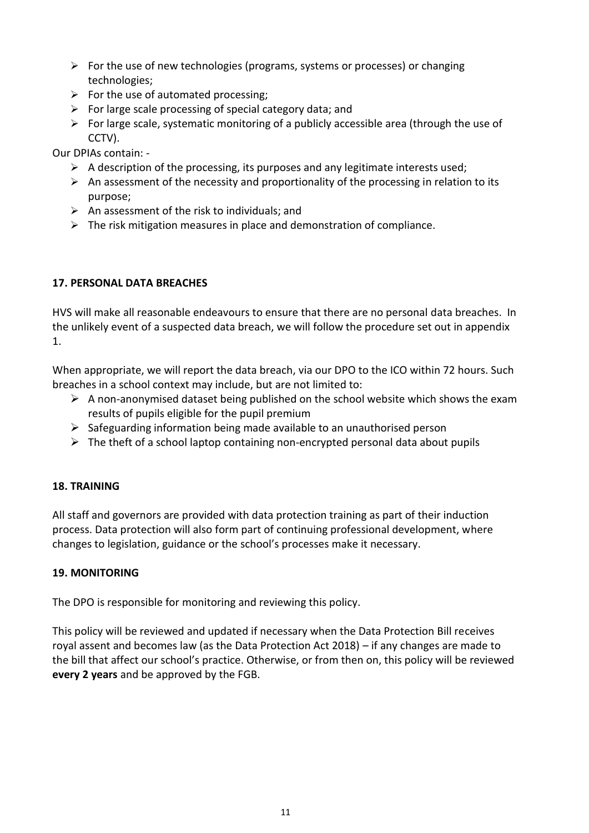- $\triangleright$  For the use of new technologies (programs, systems or processes) or changing technologies;
- $\triangleright$  For the use of automated processing;
- $\triangleright$  For large scale processing of special category data; and
- $\triangleright$  For large scale, systematic monitoring of a publicly accessible area (through the use of CCTV).

Our DPIAs contain: -

- $\triangleright$  A description of the processing, its purposes and any legitimate interests used;
- $\triangleright$  An assessment of the necessity and proportionality of the processing in relation to its purpose;
- $\triangleright$  An assessment of the risk to individuals; and
- $\triangleright$  The risk mitigation measures in place and demonstration of compliance.

## **17. PERSONAL DATA BREACHES**

HVS will make all reasonable endeavours to ensure that there are no personal data breaches. In the unlikely event of a suspected data breach, we will follow the procedure set out in appendix 1.

When appropriate, we will report the data breach, via our DPO to the ICO within 72 hours. Such breaches in a school context may include, but are not limited to:

- $\triangleright$  A non-anonymised dataset being published on the school website which shows the exam results of pupils eligible for the pupil premium
- $\triangleright$  Safeguarding information being made available to an unauthorised person
- $\triangleright$  The theft of a school laptop containing non-encrypted personal data about pupils

## **18. TRAINING**

All staff and governors are provided with data protection training as part of their induction process. Data protection will also form part of continuing professional development, where changes to legislation, guidance or the school's processes make it necessary.

#### **19. MONITORING**

The DPO is responsible for monitoring and reviewing this policy.

This policy will be reviewed and updated if necessary when the Data Protection Bill receives royal assent and becomes law (as the Data Protection Act 2018) – if any changes are made to the bill that affect our school's practice. Otherwise, or from then on, this policy will be reviewed **every 2 years** and be approved by the FGB.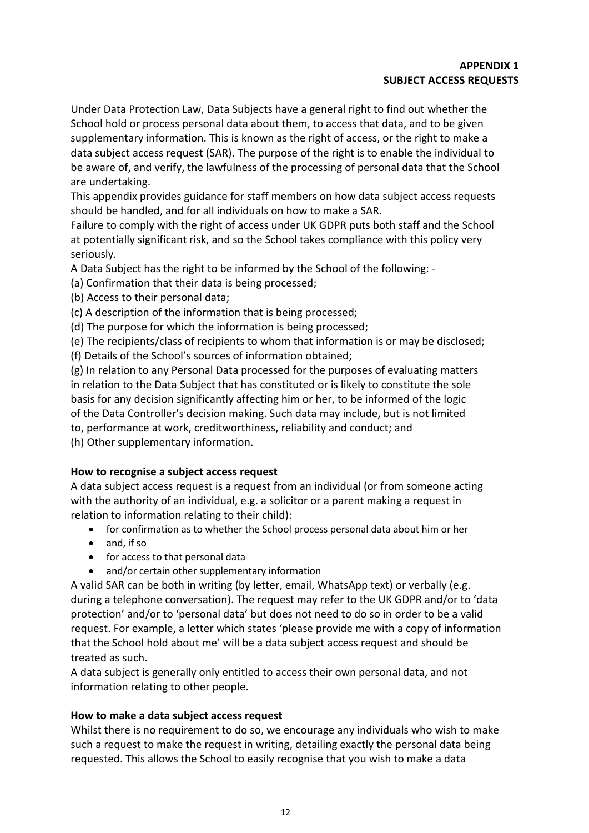Under Data Protection Law, Data Subjects have a general right to find out whether the School hold or process personal data about them, to access that data, and to be given supplementary information. This is known as the right of access, or the right to make a data subject access request (SAR). The purpose of the right is to enable the individual to be aware of, and verify, the lawfulness of the processing of personal data that the School are undertaking.

This appendix provides guidance for staff members on how data subject access requests should be handled, and for all individuals on how to make a SAR.

Failure to comply with the right of access under UK GDPR puts both staff and the School at potentially significant risk, and so the School takes compliance with this policy very seriously.

A Data Subject has the right to be informed by the School of the following: -

(a) Confirmation that their data is being processed;

(b) Access to their personal data;

(c) A description of the information that is being processed;

(d) The purpose for which the information is being processed;

(e) The recipients/class of recipients to whom that information is or may be disclosed;

(f) Details of the School's sources of information obtained;

(g) In relation to any Personal Data processed for the purposes of evaluating matters in relation to the Data Subject that has constituted or is likely to constitute the sole basis for any decision significantly affecting him or her, to be informed of the logic of the Data Controller's decision making. Such data may include, but is not limited to, performance at work, creditworthiness, reliability and conduct; and (h) Other supplementary information.

## **How to recognise a subject access request**

A data subject access request is a request from an individual (or from someone acting with the authority of an individual, e.g. a solicitor or a parent making a request in relation to information relating to their child):

- for confirmation as to whether the School process personal data about him or her
- and, if so
- for access to that personal data
- and/or certain other supplementary information

A valid SAR can be both in writing (by letter, email, WhatsApp text) or verbally (e.g. during a telephone conversation). The request may refer to the UK GDPR and/or to 'data protection' and/or to 'personal data' but does not need to do so in order to be a valid request. For example, a letter which states 'please provide me with a copy of information that the School hold about me' will be a data subject access request and should be treated as such.

A data subject is generally only entitled to access their own personal data, and not information relating to other people.

#### **How to make a data subject access request**

Whilst there is no requirement to do so, we encourage any individuals who wish to make such a request to make the request in writing, detailing exactly the personal data being requested. This allows the School to easily recognise that you wish to make a data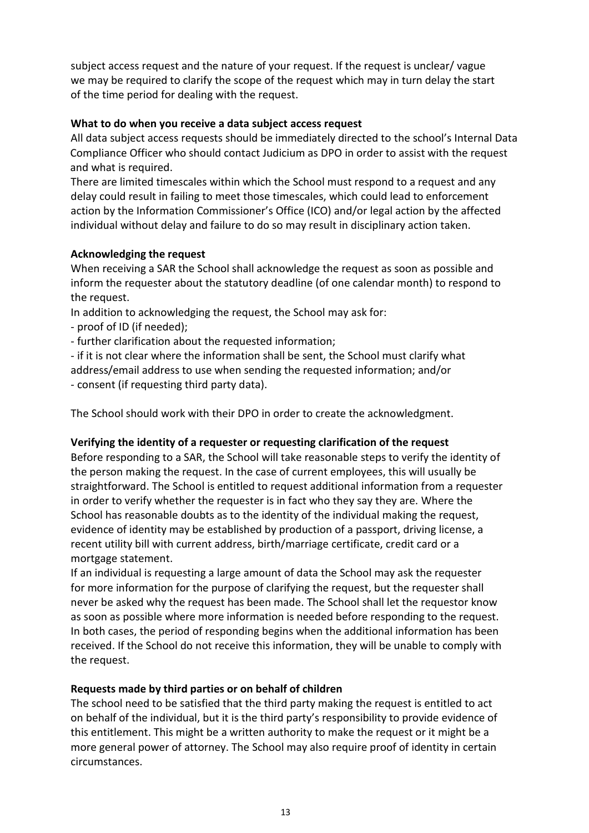subject access request and the nature of your request. If the request is unclear/ vague we may be required to clarify the scope of the request which may in turn delay the start of the time period for dealing with the request.

### **What to do when you receive a data subject access request**

All data subject access requests should be immediately directed to the school's Internal Data Compliance Officer who should contact Judicium as DPO in order to assist with the request and what is required.

There are limited timescales within which the School must respond to a request and any delay could result in failing to meet those timescales, which could lead to enforcement action by the Information Commissioner's Office (ICO) and/or legal action by the affected individual without delay and failure to do so may result in disciplinary action taken.

## **Acknowledging the request**

When receiving a SAR the School shall acknowledge the request as soon as possible and inform the requester about the statutory deadline (of one calendar month) to respond to the request.

In addition to acknowledging the request, the School may ask for:

- proof of ID (if needed);

- further clarification about the requested information;

- if it is not clear where the information shall be sent, the School must clarify what address/email address to use when sending the requested information; and/or

- consent (if requesting third party data).

The School should work with their DPO in order to create the acknowledgment.

## **Verifying the identity of a requester or requesting clarification of the request**

Before responding to a SAR, the School will take reasonable steps to verify the identity of the person making the request. In the case of current employees, this will usually be straightforward. The School is entitled to request additional information from a requester in order to verify whether the requester is in fact who they say they are. Where the School has reasonable doubts as to the identity of the individual making the request, evidence of identity may be established by production of a passport, driving license, a recent utility bill with current address, birth/marriage certificate, credit card or a mortgage statement.

If an individual is requesting a large amount of data the School may ask the requester for more information for the purpose of clarifying the request, but the requester shall never be asked why the request has been made. The School shall let the requestor know as soon as possible where more information is needed before responding to the request. In both cases, the period of responding begins when the additional information has been received. If the School do not receive this information, they will be unable to comply with the request.

## **Requests made by third parties or on behalf of children**

The school need to be satisfied that the third party making the request is entitled to act on behalf of the individual, but it is the third party's responsibility to provide evidence of this entitlement. This might be a written authority to make the request or it might be a more general power of attorney. The School may also require proof of identity in certain circumstances.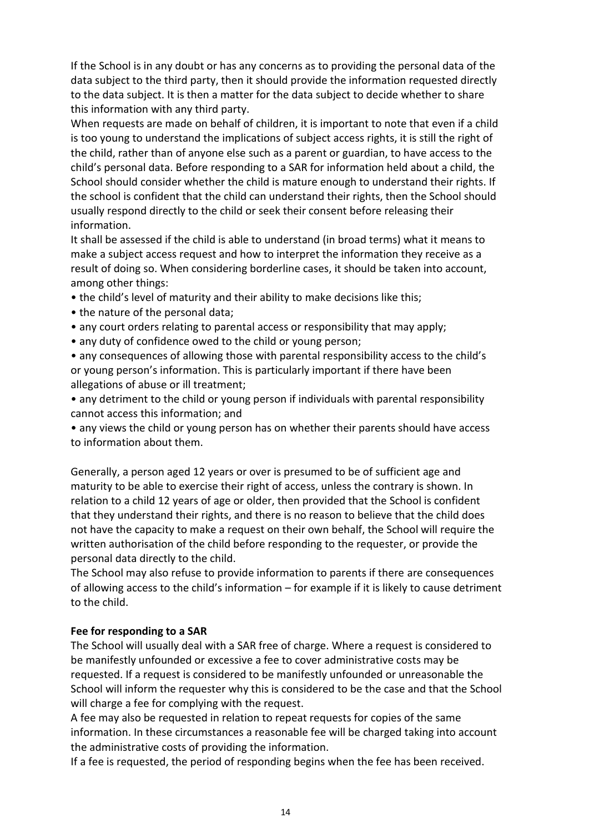If the School is in any doubt or has any concerns as to providing the personal data of the data subject to the third party, then it should provide the information requested directly to the data subject. It is then a matter for the data subject to decide whether to share this information with any third party.

When requests are made on behalf of children, it is important to note that even if a child is too young to understand the implications of subject access rights, it is still the right of the child, rather than of anyone else such as a parent or guardian, to have access to the child's personal data. Before responding to a SAR for information held about a child, the School should consider whether the child is mature enough to understand their rights. If the school is confident that the child can understand their rights, then the School should usually respond directly to the child or seek their consent before releasing their information.

It shall be assessed if the child is able to understand (in broad terms) what it means to make a subject access request and how to interpret the information they receive as a result of doing so. When considering borderline cases, it should be taken into account, among other things:

- the child's level of maturity and their ability to make decisions like this;
- the nature of the personal data;
- any court orders relating to parental access or responsibility that may apply;
- any duty of confidence owed to the child or young person;

• any consequences of allowing those with parental responsibility access to the child's or young person's information. This is particularly important if there have been allegations of abuse or ill treatment;

• any detriment to the child or young person if individuals with parental responsibility cannot access this information; and

• any views the child or young person has on whether their parents should have access to information about them.

Generally, a person aged 12 years or over is presumed to be of sufficient age and maturity to be able to exercise their right of access, unless the contrary is shown. In relation to a child 12 years of age or older, then provided that the School is confident that they understand their rights, and there is no reason to believe that the child does not have the capacity to make a request on their own behalf, the School will require the written authorisation of the child before responding to the requester, or provide the personal data directly to the child.

The School may also refuse to provide information to parents if there are consequences of allowing access to the child's information – for example if it is likely to cause detriment to the child.

#### **Fee for responding to a SAR**

The School will usually deal with a SAR free of charge. Where a request is considered to be manifestly unfounded or excessive a fee to cover administrative costs may be requested. If a request is considered to be manifestly unfounded or unreasonable the School will inform the requester why this is considered to be the case and that the School will charge a fee for complying with the request.

A fee may also be requested in relation to repeat requests for copies of the same information. In these circumstances a reasonable fee will be charged taking into account the administrative costs of providing the information.

If a fee is requested, the period of responding begins when the fee has been received.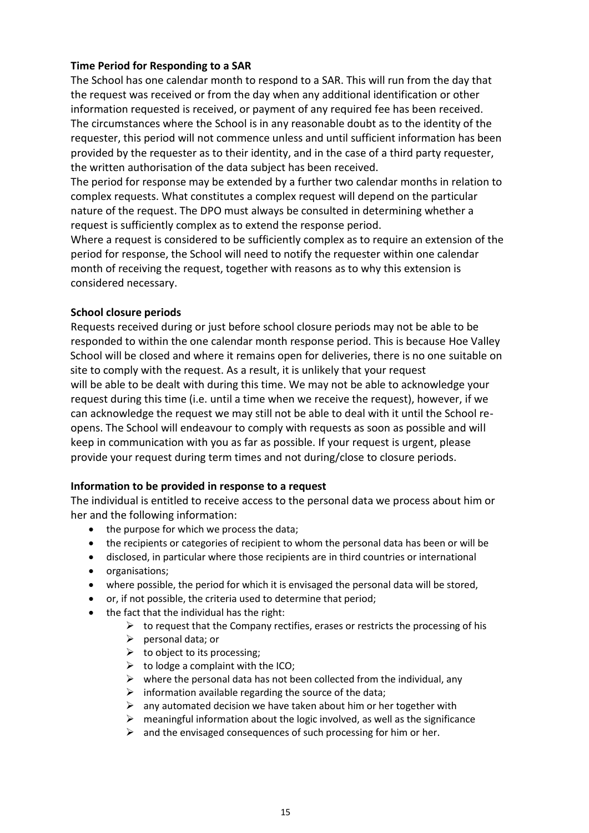#### **Time Period for Responding to a SAR**

The School has one calendar month to respond to a SAR. This will run from the day that the request was received or from the day when any additional identification or other information requested is received, or payment of any required fee has been received. The circumstances where the School is in any reasonable doubt as to the identity of the requester, this period will not commence unless and until sufficient information has been provided by the requester as to their identity, and in the case of a third party requester, the written authorisation of the data subject has been received.

The period for response may be extended by a further two calendar months in relation to complex requests. What constitutes a complex request will depend on the particular nature of the request. The DPO must always be consulted in determining whether a request is sufficiently complex as to extend the response period.

Where a request is considered to be sufficiently complex as to require an extension of the period for response, the School will need to notify the requester within one calendar month of receiving the request, together with reasons as to why this extension is considered necessary.

#### **School closure periods**

Requests received during or just before school closure periods may not be able to be responded to within the one calendar month response period. This is because Hoe Valley School will be closed and where it remains open for deliveries, there is no one suitable on site to comply with the request. As a result, it is unlikely that your request will be able to be dealt with during this time. We may not be able to acknowledge your request during this time (i.e. until a time when we receive the request), however, if we can acknowledge the request we may still not be able to deal with it until the School reopens. The School will endeavour to comply with requests as soon as possible and will keep in communication with you as far as possible. If your request is urgent, please provide your request during term times and not during/close to closure periods.

#### **Information to be provided in response to a request**

The individual is entitled to receive access to the personal data we process about him or her and the following information:

- the purpose for which we process the data;
- the recipients or categories of recipient to whom the personal data has been or will be
- disclosed, in particular where those recipients are in third countries or international
- organisations;
- where possible, the period for which it is envisaged the personal data will be stored,
- or, if not possible, the criteria used to determine that period;
- the fact that the individual has the right:
	- $\triangleright$  to request that the Company rectifies, erases or restricts the processing of his
	- $\triangleright$  personal data; or
	- $\triangleright$  to object to its processing;
	- $\triangleright$  to lodge a complaint with the ICO;
	- $\triangleright$  where the personal data has not been collected from the individual, any
	- $\triangleright$  information available regarding the source of the data;
	- $\triangleright$  any automated decision we have taken about him or her together with
	- $\triangleright$  meaningful information about the logic involved, as well as the significance
	- $\triangleright$  and the envisaged consequences of such processing for him or her.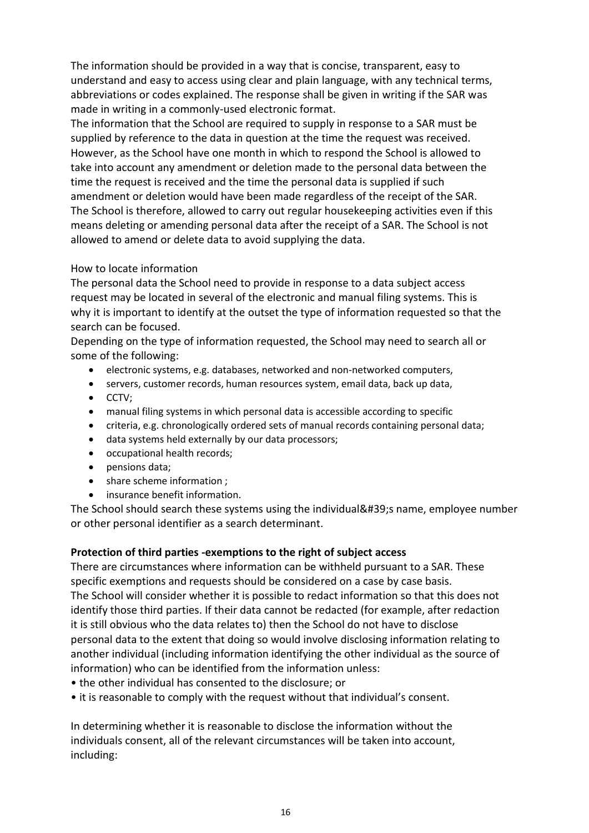The information should be provided in a way that is concise, transparent, easy to understand and easy to access using clear and plain language, with any technical terms, abbreviations or codes explained. The response shall be given in writing if the SAR was made in writing in a commonly-used electronic format.

The information that the School are required to supply in response to a SAR must be supplied by reference to the data in question at the time the request was received. However, as the School have one month in which to respond the School is allowed to take into account any amendment or deletion made to the personal data between the time the request is received and the time the personal data is supplied if such amendment or deletion would have been made regardless of the receipt of the SAR. The School is therefore, allowed to carry out regular housekeeping activities even if this means deleting or amending personal data after the receipt of a SAR. The School is not allowed to amend or delete data to avoid supplying the data.

#### How to locate information

The personal data the School need to provide in response to a data subject access request may be located in several of the electronic and manual filing systems. This is why it is important to identify at the outset the type of information requested so that the search can be focused.

Depending on the type of information requested, the School may need to search all or some of the following:

- electronic systems, e.g. databases, networked and non-networked computers,
- servers, customer records, human resources system, email data, back up data,
- $\bullet$  CCTV:
- manual filing systems in which personal data is accessible according to specific
- criteria, e.g. chronologically ordered sets of manual records containing personal data;
- data systems held externally by our data processors;
- occupational health records;
- pensions data;
- share scheme information :
- insurance benefit information.

The School should search these systems using the individual's name, employee number or other personal identifier as a search determinant.

## **Protection of third parties -exemptions to the right of subject access**

There are circumstances where information can be withheld pursuant to a SAR. These specific exemptions and requests should be considered on a case by case basis. The School will consider whether it is possible to redact information so that this does not identify those third parties. If their data cannot be redacted (for example, after redaction it is still obvious who the data relates to) then the School do not have to disclose personal data to the extent that doing so would involve disclosing information relating to another individual (including information identifying the other individual as the source of information) who can be identified from the information unless:

- the other individual has consented to the disclosure; or
- it is reasonable to comply with the request without that individual's consent.

In determining whether it is reasonable to disclose the information without the individuals consent, all of the relevant circumstances will be taken into account, including: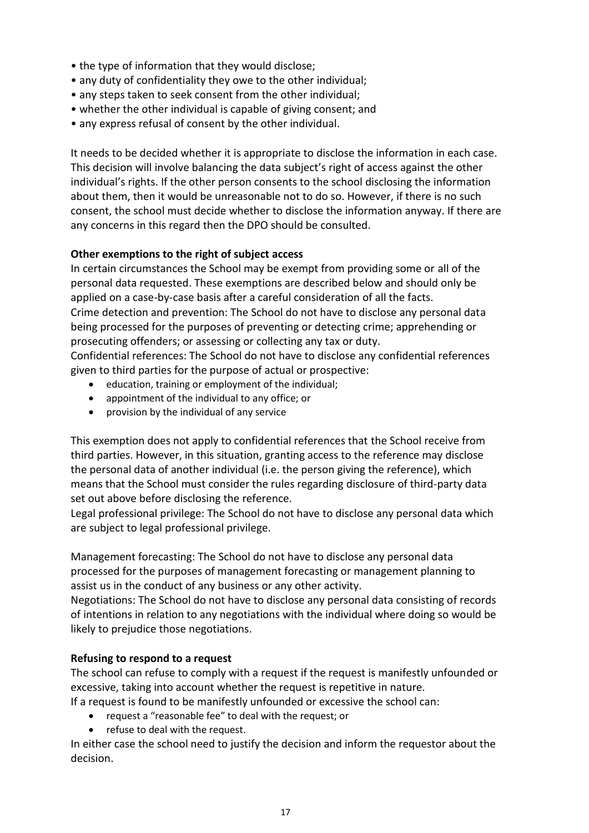- the type of information that they would disclose;
- any duty of confidentiality they owe to the other individual;
- any steps taken to seek consent from the other individual;
- whether the other individual is capable of giving consent; and
- any express refusal of consent by the other individual.

It needs to be decided whether it is appropriate to disclose the information in each case. This decision will involve balancing the data subject's right of access against the other individual's rights. If the other person consents to the school disclosing the information about them, then it would be unreasonable not to do so. However, if there is no such consent, the school must decide whether to disclose the information anyway. If there are any concerns in this regard then the DPO should be consulted.

#### **Other exemptions to the right of subject access**

In certain circumstances the School may be exempt from providing some or all of the personal data requested. These exemptions are described below and should only be applied on a case-by-case basis after a careful consideration of all the facts. Crime detection and prevention: The School do not have to disclose any personal data being processed for the purposes of preventing or detecting crime; apprehending or prosecuting offenders; or assessing or collecting any tax or duty.

Confidential references: The School do not have to disclose any confidential references given to third parties for the purpose of actual or prospective:

- education, training or employment of the individual;
- appointment of the individual to any office; or
- provision by the individual of any service

This exemption does not apply to confidential references that the School receive from third parties. However, in this situation, granting access to the reference may disclose the personal data of another individual (i.e. the person giving the reference), which means that the School must consider the rules regarding disclosure of third-party data set out above before disclosing the reference.

Legal professional privilege: The School do not have to disclose any personal data which are subject to legal professional privilege.

Management forecasting: The School do not have to disclose any personal data processed for the purposes of management forecasting or management planning to assist us in the conduct of any business or any other activity.

Negotiations: The School do not have to disclose any personal data consisting of records of intentions in relation to any negotiations with the individual where doing so would be likely to prejudice those negotiations.

#### **Refusing to respond to a request**

The school can refuse to comply with a request if the request is manifestly unfounded or excessive, taking into account whether the request is repetitive in nature.

If a request is found to be manifestly unfounded or excessive the school can:

- request a "reasonable fee" to deal with the request; or
- refuse to deal with the request.

In either case the school need to justify the decision and inform the requestor about the decision.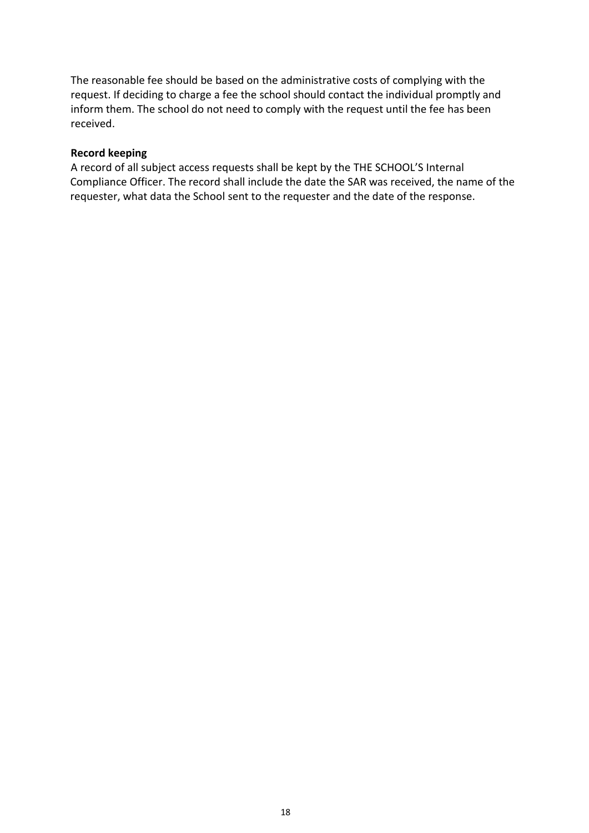The reasonable fee should be based on the administrative costs of complying with the request. If deciding to charge a fee the school should contact the individual promptly and inform them. The school do not need to comply with the request until the fee has been received.

#### **Record keeping**

A record of all subject access requests shall be kept by the THE SCHOOL'S Internal Compliance Officer. The record shall include the date the SAR was received, the name of the requester, what data the School sent to the requester and the date of the response.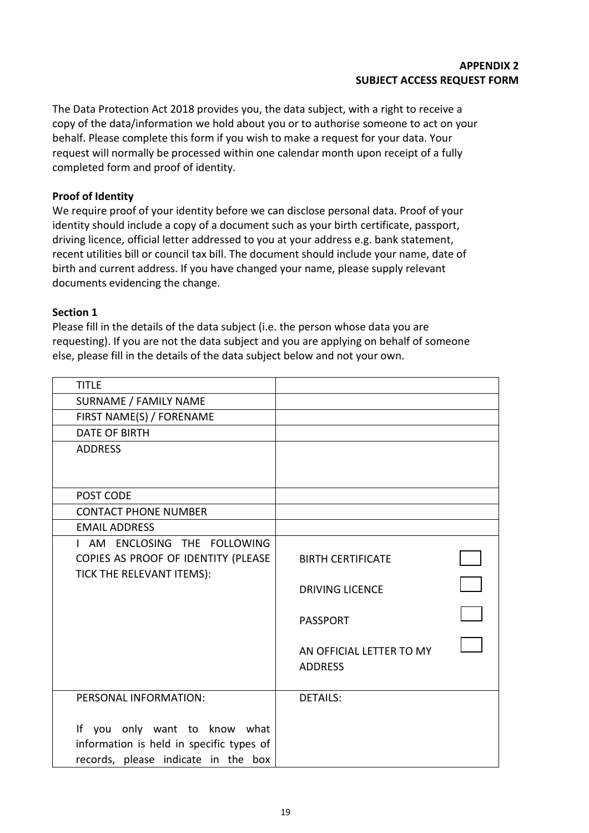The Data Protection Act 2018 provides you, the data subject, with a right to receive a copy of the data/information we hold about you or to authorise someone to act on your behalf. Please complete this form if you wish to make a request for your data. Your request will normally be processed within one calendar month upon receipt of a fully completed form and proof of identity.

#### **Proof of Identity**

We require proof of your identity before we can disclose personal data. Proof of your identity should include a copy of a document such as your birth certificate, passport, driving licence, official letter addressed to you at your address e.g. bank statement, recent utilities bill or council tax bill. The document should include your name, date of birth and current address. If you have changed your name, please supply relevant documents evidencing the change.

#### **Section 1**

Please fill in the details of the data subject (i.e. the person whose data you are requesting). If you are not the data subject and you are applying on behalf of someone else, please fill in the details of the data subject below and not your own.

| <b>TITLE</b>                             |                          |  |
|------------------------------------------|--------------------------|--|
| SURNAME / FAMILY NAME                    |                          |  |
| FIRST NAME(S) / FORENAME                 |                          |  |
| <b>DATE OF BIRTH</b>                     |                          |  |
| <b>ADDRESS</b>                           |                          |  |
|                                          |                          |  |
|                                          |                          |  |
| POST CODE                                |                          |  |
| <b>CONTACT PHONE NUMBER</b>              |                          |  |
| <b>EMAIL ADDRESS</b>                     |                          |  |
| I AM ENCLOSING THE FOLLOWING             |                          |  |
| COPIES AS PROOF OF IDENTITY (PLEASE      | <b>BIRTH CERTIFICATE</b> |  |
| TICK THE RELEVANT ITEMS):                |                          |  |
|                                          | <b>DRIVING LICENCE</b>   |  |
|                                          |                          |  |
|                                          | <b>PASSPORT</b>          |  |
|                                          | AN OFFICIAL LETTER TO MY |  |
|                                          | <b>ADDRESS</b>           |  |
|                                          |                          |  |
| PERSONAL INFORMATION:                    | <b>DETAILS:</b>          |  |
|                                          |                          |  |
| If you only want to know what            |                          |  |
| information is held in specific types of |                          |  |
| records, please indicate in the box      |                          |  |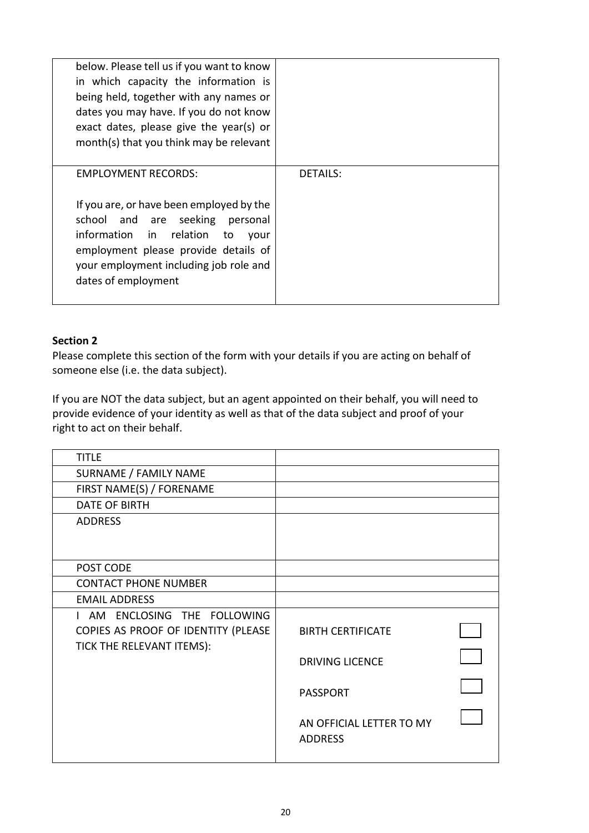| below. Please tell us if you want to know |          |
|-------------------------------------------|----------|
| in which capacity the information is      |          |
| being held, together with any names or    |          |
| dates you may have. If you do not know    |          |
| exact dates, please give the year(s) or   |          |
| month(s) that you think may be relevant   |          |
|                                           |          |
| <b>EMPLOYMENT RECORDS:</b>                | DETAILS: |
|                                           |          |
| If you are, or have been employed by the  |          |
| school and are seeking personal           |          |
| information in relation<br>to<br>vour     |          |
| employment please provide details of      |          |
| your employment including job role and    |          |
| dates of employment                       |          |
|                                           |          |

#### **Section 2**

Please complete this section of the form with your details if you are acting on behalf of someone else (i.e. the data subject).

If you are NOT the data subject, but an agent appointed on their behalf, you will need to provide evidence of your identity as well as that of the data subject and proof of your right to act on their behalf.

| <b>TITLE</b>                        |                          |  |
|-------------------------------------|--------------------------|--|
| SURNAME / FAMILY NAME               |                          |  |
| FIRST NAME(S) / FORENAME            |                          |  |
| <b>DATE OF BIRTH</b>                |                          |  |
| <b>ADDRESS</b>                      |                          |  |
|                                     |                          |  |
|                                     |                          |  |
| POST CODE                           |                          |  |
| <b>CONTACT PHONE NUMBER</b>         |                          |  |
| <b>EMAIL ADDRESS</b>                |                          |  |
| I AM ENCLOSING THE FOLLOWING        |                          |  |
| COPIES AS PROOF OF IDENTITY (PLEASE | <b>BIRTH CERTIFICATE</b> |  |
| TICK THE RELEVANT ITEMS):           |                          |  |
|                                     | <b>DRIVING LICENCE</b>   |  |
|                                     |                          |  |
|                                     | <b>PASSPORT</b>          |  |
|                                     |                          |  |
|                                     | AN OFFICIAL LETTER TO MY |  |
|                                     | <b>ADDRESS</b>           |  |
|                                     |                          |  |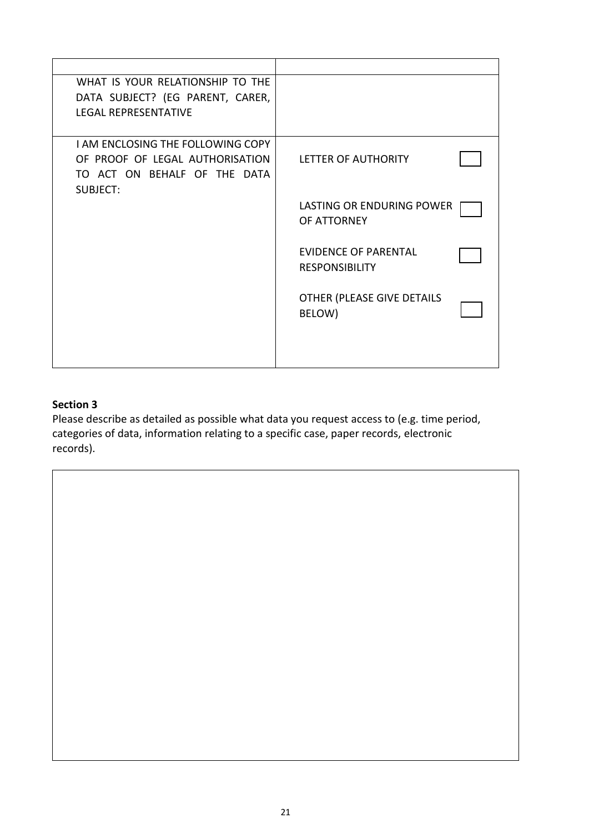| WHAT IS YOUR RELATIONSHIP TO THE<br>DATA SUBJECT? (EG PARENT, CARER,<br><b>LEGAL REPRESENTATIVE</b>                            |                                                      |
|--------------------------------------------------------------------------------------------------------------------------------|------------------------------------------------------|
| <b>I AM ENCLOSING THE FOLLOWING COPY</b><br>OF PROOF OF LEGAL AUTHORISATION<br>TO ACT ON BEHALF OF THE DATA<br><b>SUBJECT:</b> | LETTER OF AUTHORITY                                  |
|                                                                                                                                | LASTING OR ENDURING POWER<br>OF ATTORNEY             |
|                                                                                                                                | <b>EVIDENCE OF PARENTAL</b><br><b>RESPONSIBILITY</b> |
|                                                                                                                                | OTHER (PLEASE GIVE DETAILS<br>BELOW)                 |
|                                                                                                                                |                                                      |

# **Section 3**

Please describe as detailed as possible what data you request access to (e.g. time period, categories of data, information relating to a specific case, paper records, electronic records).